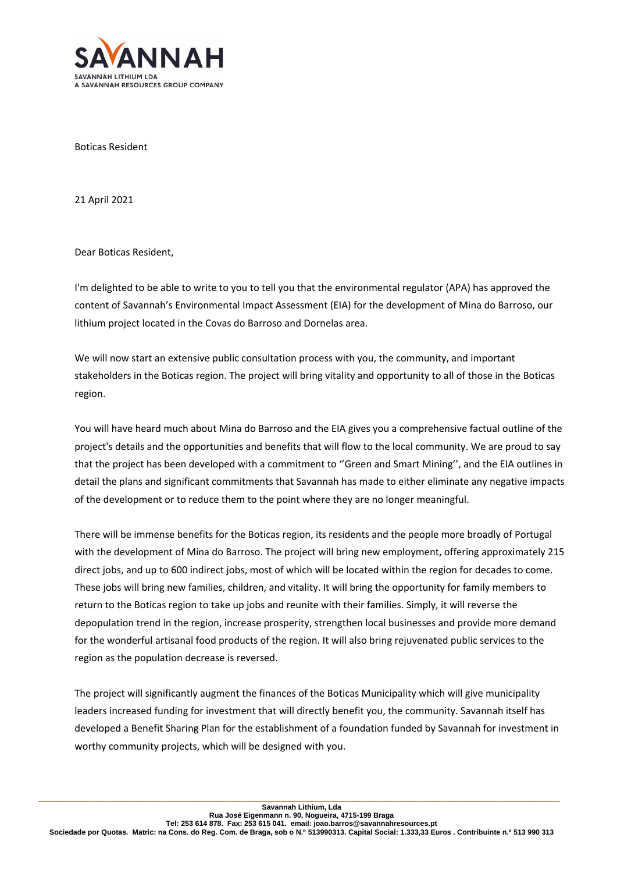

Boticas Resident

21 April 2021

Dear Boticas Resident,

I'm delighted to be able to write to you to tell you that the environmental regulator (APA) has approved the content of Savannah's Environmental Impact Assessment (EIA) for the development of Mina do Barroso, our lithium project located in the Covas do Barroso and Dornelas area.

We will now start an extensive public consultation process with you, the community, and important stakeholders in the Boticas region. The project will bring vitality and opportunity to all of those in the Boticas region.

You will have heard much about Mina do Barroso and the EIA gives you a comprehensive factual outline of the project's details and the opportunities and benefits that will flow to the local community. We are proud to say that the project has been developed with a commitment to ''Green and Smart Mining'', and the EIA outlines in detail the plans and significant commitments that Savannah has made to either eliminate any negative impacts of the development or to reduce them to the point where they are no longer meaningful.

There will be immense benefits for the Boticas region, its residents and the people more broadly of Portugal with the development of Mina do Barroso. The project will bring new employment, offering approximately 215 direct jobs, and up to 600 indirect jobs, most of which will be located within the region for decades to come. These jobs will bring new families, children, and vitality. It will bring the opportunity for family members to return to the Boticas region to take up jobs and reunite with their families. Simply, it will reverse the depopulation trend in the region, increase prosperity, strengthen local businesses and provide more demand for the wonderful artisanal food products of the region. It will also bring rejuvenated public services to the region as the population decrease is reversed.

The project will significantly augment the finances of the Boticas Municipality which will give municipality leaders increased funding for investment that will directly benefit you, the community. Savannah itself has developed a Benefit Sharing Plan for the establishment of a foundation funded by Savannah for investment in worthy community projects, which will be designed with you.

\_\_\_\_\_\_\_\_\_\_\_\_\_\_\_\_\_\_\_\_\_\_\_\_\_\_\_\_\_\_\_\_\_\_\_\_\_\_\_\_\_\_\_\_\_\_\_\_\_\_\_\_\_\_\_\_\_\_\_\_\_\_\_\_\_\_\_\_\_\_\_\_\_\_\_\_\_\_\_\_\_\_\_\_\_\_\_\_\_\_\_\_